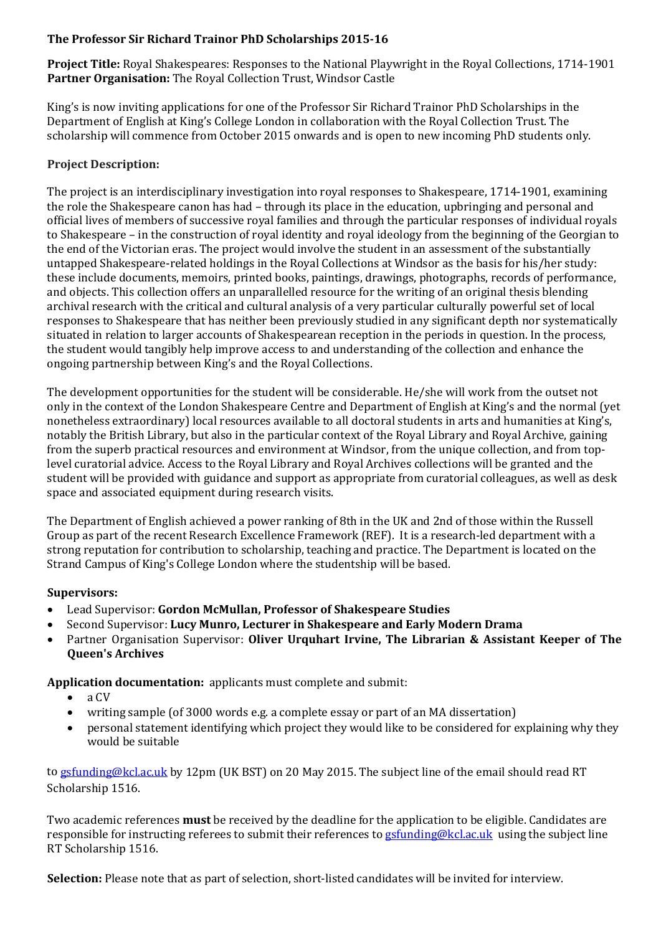## **The Professor Sir Richard Trainor PhD Scholarships 2015-16**

**Project Title:** Royal Shakespeares: Responses to the National Playwright in the Royal Collections, 1714-1901 **Partner Organisation:** The Royal Collection Trust, Windsor Castle

King's is now inviting applications for one of the Professor Sir Richard Trainor PhD Scholarships in the Department of English at King's College London in collaboration with the Royal Collection Trust. The scholarship will commence from October 2015 onwards and is open to new incoming PhD students only.

# **Project Description:**

The project is an interdisciplinary investigation into royal responses to Shakespeare, 1714-1901, examining the role the Shakespeare canon has had – through its place in the education, upbringing and personal and official lives of members of successive royal families and through the particular responses of individual royals to Shakespeare – in the construction of royal identity and royal ideology from the beginning of the Georgian to the end of the Victorian eras. The project would involve the student in an assessment of the substantially untapped Shakespeare-related holdings in the Royal Collections at Windsor as the basis for his/her study: these include documents, memoirs, printed books, paintings, drawings, photographs, records of performance, and objects. This collection offers an unparallelled resource for the writing of an original thesis blending archival research with the critical and cultural analysis of a very particular culturally powerful set of local responses to Shakespeare that has neither been previously studied in any significant depth nor systematically situated in relation to larger accounts of Shakespearean reception in the periods in question. In the process, the student would tangibly help improve access to and understanding of the collection and enhance the ongoing partnership between King's and the Royal Collections.

The development opportunities for the student will be considerable. He/she will work from the outset not only in the context of the London Shakespeare Centre and Department of English at King's and the normal (yet nonetheless extraordinary) local resources available to all doctoral students in arts and humanities at King's, notably the British Library, but also in the particular context of the Royal Library and Royal Archive, gaining from the superb practical resources and environment at Windsor, from the unique collection, and from toplevel curatorial advice. Access to the Royal Library and Royal Archives collections will be granted and the student will be provided with guidance and support as appropriate from curatorial colleagues, as well as desk space and associated equipment during research visits.

The Department of English achieved a power ranking of 8th in the UK and 2nd of those within the Russell Group as part of the recent Research Excellence Framework (REF). It is a research-led department with a strong reputation for contribution to scholarship, teaching and practice. The Department is located on the Strand Campus of King's College London where the studentship will be based.

## **Supervisors:**

- Lead Supervisor: **Gordon McMullan, Professor of Shakespeare Studies**
- Second Supervisor: **Lucy Munro, Lecturer in Shakespeare and Early Modern Drama**
- Partner Organisation Supervisor: **Oliver Urquhart Irvine, The Librarian & Assistant Keeper of The Queen's Archives**

**Application documentation:** applicants must complete and submit:<br>
• a CV

- a CV<br>• writ
- writing sample (of 3000 words e.g. a complete essay or part of an MA dissertation)
- personal statement identifying which project they would like to be considered for explaining why they would be suitable

t[o gsfunding@kcl.ac.uk](mailto:gsfunding@kcl.ac.uk) by 12pm (UK BST) on 20 May 2015. The subject line of the email should read RT Scholarship 1516.

Two academic references **must** be received by the deadline for the application to be eligible. Candidates are responsible for instructing referees to submit their references to [gsfunding@kcl.ac.uk](mailto:gsfunding@kcl.ac.uk) using the subject line RT Scholarship 1516.

**Selection:** Please note that as part of selection, short-listed candidates will be invited for interview.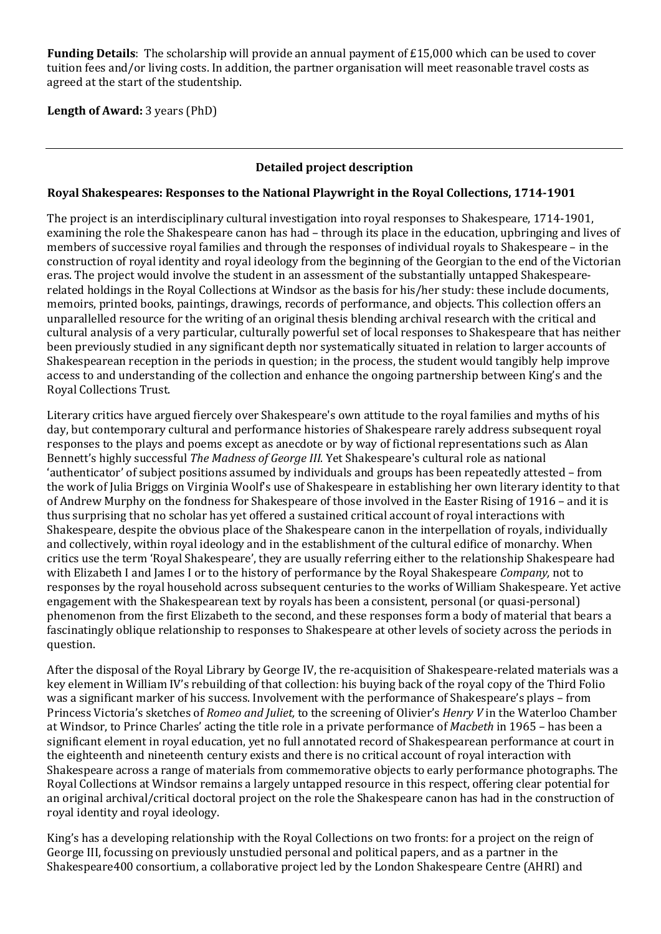**Funding Details**: The scholarship will provide an annual payment of £15,000 which can be used to cover tuition fees and/or living costs. In addition, the partner organisation will meet reasonable travel costs as agreed at the start of the studentship.

### **Length of Award:** 3 years (PhD)

### **Detailed project description**

#### **Royal Shakespeares: Responses to the National Playwright in the Royal Collections, 1714-1901**

The project is an interdisciplinary cultural investigation into royal responses to Shakespeare, 1714-1901, examining the role the Shakespeare canon has had – through its place in the education, upbringing and lives of members of successive royal families and through the responses of individual royals to Shakespeare – in the construction of royal identity and royal ideology from the beginning of the Georgian to the end of the Victorian eras. The project would involve the student in an assessment of the substantially untapped Shakespearerelated holdings in the Royal Collections at Windsor as the basis for his/her study: these include documents, memoirs, printed books, paintings, drawings, records of performance, and objects. This collection offers an unparallelled resource for the writing of an original thesis blending archival research with the critical and cultural analysis of a very particular, culturally powerful set of local responses to Shakespeare that has neither been previously studied in any significant depth nor systematically situated in relation to larger accounts of Shakespearean reception in the periods in question; in the process, the student would tangibly help improve access to and understanding of the collection and enhance the ongoing partnership between King's and the Royal Collections Trust.

Literary critics have argued fiercely over Shakespeare's own attitude to the royal families and myths of his day, but contemporary cultural and performance histories of Shakespeare rarely address subsequent royal responses to the plays and poems except as anecdote or by way of fictional representations such as Alan Bennett's highly successful *The Madness of George III.* Yet Shakespeare's cultural role as national 'authenticator' of subject positions assumed by individuals and groups has been repeatedly attested – from the work of Julia Briggs on Virginia Woolf's use of Shakespeare in establishing her own literary identity to that of Andrew Murphy on the fondness for Shakespeare of those involved in the Easter Rising of 1916 – and it is thus surprising that no scholar has yet offered a sustained critical account of royal interactions with Shakespeare, despite the obvious place of the Shakespeare canon in the interpellation of royals, individually and collectively, within royal ideology and in the establishment of the cultural edifice of monarchy. When critics use the term 'Royal Shakespeare', they are usually referring either to the relationship Shakespeare had with Elizabeth I and James I or to the history of performance by the Royal Shakespeare *Company,* not to responses by the royal household across subsequent centuries to the works of William Shakespeare. Yet active engagement with the Shakespearean text by royals has been a consistent, personal (or quasi-personal) phenomenon from the first Elizabeth to the second, and these responses form a body of material that bears a fascinatingly oblique relationship to responses to Shakespeare at other levels of society across the periods in question.

After the disposal of the Royal Library by George IV, the re-acquisition of Shakespeare-related materials was a key element in William IV's rebuilding of that collection: his buying back of the royal copy of the Third Folio was a significant marker of his success. Involvement with the performance of Shakespeare's plays – from Princess Victoria's sketches of *Romeo and Juliet,* to the screening of Olivier's *Henry V* in the Waterloo Chamber at Windsor, to Prince Charles' acting the title role in a private performance of *Macbeth* in 1965 – has been a significant element in royal education, yet no full annotated record of Shakespearean performance at court in the eighteenth and nineteenth century exists and there is no critical account of royal interaction with Shakespeare across a range of materials from commemorative objects to early performance photographs. The Royal Collections at Windsor remains a largely untapped resource in this respect, offering clear potential for an original archival/critical doctoral project on the role the Shakespeare canon has had in the construction of royal identity and royal ideology.

King's has a developing relationship with the Royal Collections on two fronts: for a project on the reign of George III, focussing on previously unstudied personal and political papers, and as a partner in the Shakespeare400 consortium, a collaborative project led by the London Shakespeare Centre (AHRI) and